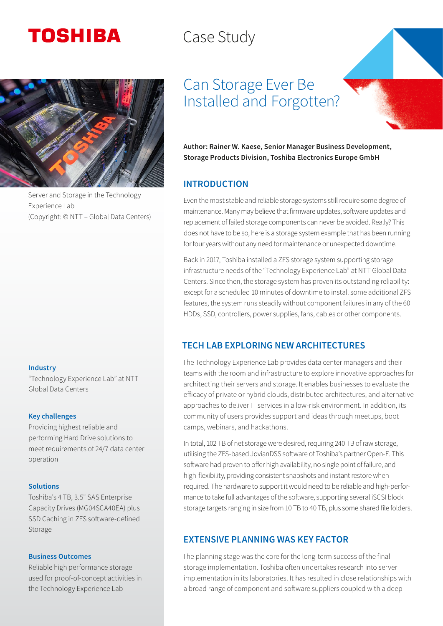# **TOSHIBA**

## Case Study



Server and Storage in the Technology Experience Lab (Copyright: © NTT – Global Data Centers)

#### Industry

"Technology Experience Lab" at NTT Global Data Centers

#### Key challenges

Providing highest reliable and performing Hard Drive solutions to meet requirements of 24/7 data center operation

#### Solutions

Toshiba's 4 TB, 3.5" SAS Enterprise Capacity Drives (MG04SCA40EA) plus SSD Caching in ZFS software-defined Storage

#### Business Outcomes

Reliable high performance storage used for proof-of-concept activities in the Technology Experience Lab

## Can Storage Ever Be Installed and Forgotten?

Author: Rainer W. Kaese, Senior Manager Business Development, Storage Products Division, Toshiba Electronics Europe GmbH

#### INTRODUCTION

Even the most stable and reliable storage systems still require some degree of maintenance. Many may believe that firmware updates, software updates and replacement of failed storage components can never be avoided. Really? This does not have to be so, here is a storage system example that has been running for four years without any need for maintenance or unexpected downtime.

Back in 2017, Toshiba installed a ZFS storage system supporting storage infrastructure needs of the "Technology Experience Lab" at NTT Global Data Centers. Since then, the storage system has proven its outstanding reliability: except for a scheduled 10 minutes of downtime to install some additional ZFS features, the system runs steadily without component failures in any of the 60 HDDs, SSD, controllers, power supplies, fans, cables or other components.

## TECH LAB EXPLORING NEW ARCHITECTURES

The Technology Experience Lab provides data center managers and their teams with the room and infrastructure to explore innovative approaches for architecting their servers and storage. It enables businesses to evaluate the efficacy of private or hybrid clouds, distributed architectures, and alternative approaches to deliver IT services in a low-risk environment. In addition, its community of users provides support and ideas through meetups, boot camps, webinars, and hackathons.

In total, 102 TB of net storage were desired, requiring 240 TB of raw storage, utilising the ZFS-based JovianDSS software of Toshiba's partner Open-E. This software had proven to offer high availability, no single point of failure, and high-flexibility, providing consistent snapshots and instant restore when required. The hardware to support it would need to be reliable and high-performance to take full advantages of the software, supporting several iSCSI block storage targets ranging in size from 10 TB to 40 TB, plus some shared file folders.

## EXTENSIVE PLANNING WAS KEY FACTOR

The planning stage was the core for the long-term success of the final storage implementation. Toshiba often undertakes research into server implementation in its laboratories. It has resulted in close relationships with a broad range of component and software suppliers coupled with a deep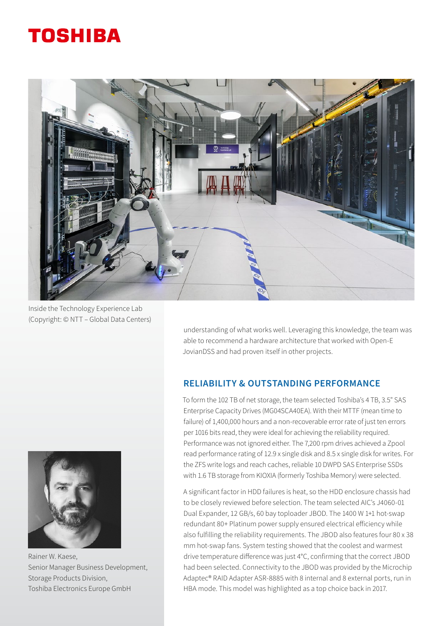## **TOSHIBA**



Inside the Technology Experience Lab (Copyright: © NTT – Global Data Centers)

understanding of what works well. Leveraging this knowledge, the team was able to recommend a hardware architecture that worked with Open-E JovianDSS and had proven itself in other projects.

## RELIABILITY & OUTSTANDING PERFORMANCE

To form the 102 TB of net storage, the team selected Toshiba's 4 TB, 3.5" SAS Enterprise Capacity Drives (MG04SCA40EA). With their MTTF (mean time to failure) of 1,400,000 hours and a non-recoverable error rate of just ten errors per 1016 bits read, they were ideal for achieving the reliability required. Performance was not ignored either. The 7,200 rpm drives achieved a Zpool read performance rating of 12.9 x single disk and 8.5 x single disk for writes. For the ZFS write logs and reach caches, reliable 10 DWPD SAS Enterprise SSDs with 1.6 TB storage from KIOXIA (formerly Toshiba Memory) were selected.

A significant factor in HDD failures is heat, so the HDD enclosure chassis had to be closely reviewed before selection. The team selected AIC's J4060-01 Dual Expander, 12 GB/s, 60 bay toploader JBOD. The 1400 W 1+1 hot-swap redundant 80+ Platinum power supply ensured electrical efficiency while also fulfilling the reliability requirements. The JBOD also features four 80 x 38 mm hot-swap fans. System testing showed that the coolest and warmest drive temperature difference was just 4°C, confirming that the correct JBOD had been selected. Connectivity to the JBOD was provided by the Microchip Adaptec® RAID Adapter ASR-8885 with 8 internal and 8 external ports, run in HBA mode. This model was highlighted as a top choice back in 2017.



Rainer W. Kaese, Senior Manager Business Development, Storage Products Division, Toshiba Electronics Europe GmbH